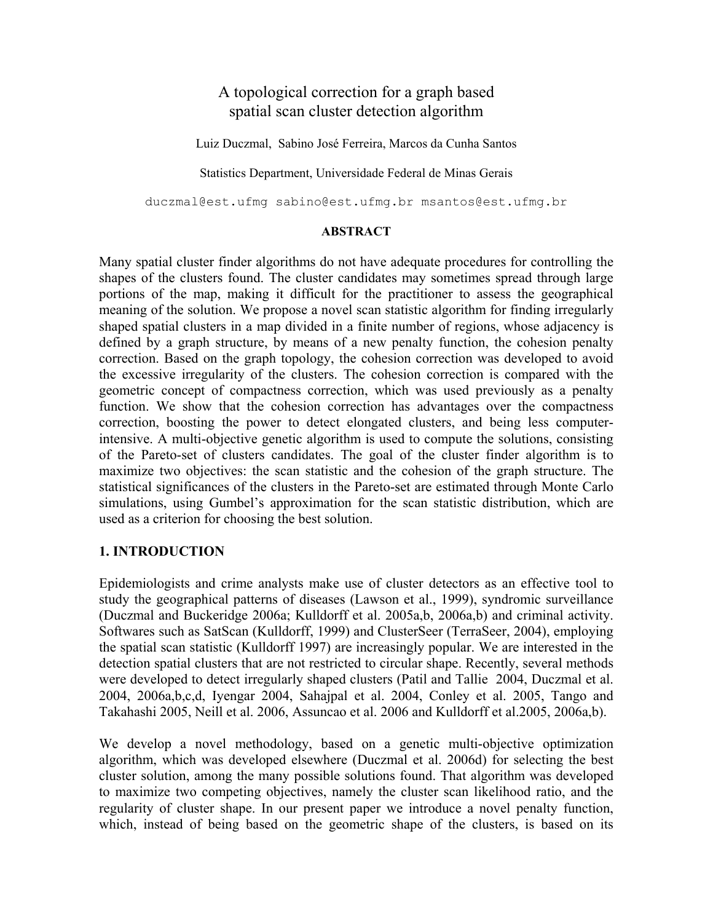# A topological correction for a graph based spatial scan cluster detection algorithm

Luiz Duczmal, Sabino José Ferreira, Marcos da Cunha Santos

Statistics Department, Universidade Federal de Minas Gerais

duczmal@est.ufmg sabino@est.ufmg.br msantos@est.ufmg.br

#### **ABSTRACT**

Many spatial cluster finder algorithms do not have adequate procedures for controlling the shapes of the clusters found. The cluster candidates may sometimes spread through large portions of the map, making it difficult for the practitioner to assess the geographical meaning of the solution. We propose a novel scan statistic algorithm for finding irregularly shaped spatial clusters in a map divided in a finite number of regions, whose adjacency is defined by a graph structure, by means of a new penalty function, the cohesion penalty correction. Based on the graph topology, the cohesion correction was developed to avoid the excessive irregularity of the clusters. The cohesion correction is compared with the geometric concept of compactness correction, which was used previously as a penalty function. We show that the cohesion correction has advantages over the compactness correction, boosting the power to detect elongated clusters, and being less computerintensive. A multi-objective genetic algorithm is used to compute the solutions, consisting of the Pareto-set of clusters candidates. The goal of the cluster finder algorithm is to maximize two objectives: the scan statistic and the cohesion of the graph structure. The statistical significances of the clusters in the Pareto-set are estimated through Monte Carlo simulations, using Gumbel's approximation for the scan statistic distribution, which are used as a criterion for choosing the best solution.

## **1. INTRODUCTION**

Epidemiologists and crime analysts make use of cluster detectors as an effective tool to study the geographical patterns of diseases (Lawson et al., 1999), syndromic surveillance (Duczmal and Buckeridge 2006a; Kulldorff et al. 2005a,b, 2006a,b) and criminal activity. Softwares such as SatScan (Kulldorff, 1999) and ClusterSeer (TerraSeer, 2004), employing the spatial scan statistic (Kulldorff 1997) are increasingly popular. We are interested in the detection spatial clusters that are not restricted to circular shape. Recently, several methods were developed to detect irregularly shaped clusters (Patil and Tallie 2004, Duczmal et al. 2004, 2006a,b,c,d, Iyengar 2004, Sahajpal et al. 2004, Conley et al. 2005, Tango and Takahashi 2005, Neill et al. 2006, Assuncao et al. 2006 and Kulldorff et al.2005, 2006a,b).

We develop a novel methodology, based on a genetic multi-objective optimization algorithm, which was developed elsewhere (Duczmal et al. 2006d) for selecting the best cluster solution, among the many possible solutions found. That algorithm was developed to maximize two competing objectives, namely the cluster scan likelihood ratio, and the regularity of cluster shape. In our present paper we introduce a novel penalty function, which, instead of being based on the geometric shape of the clusters, is based on its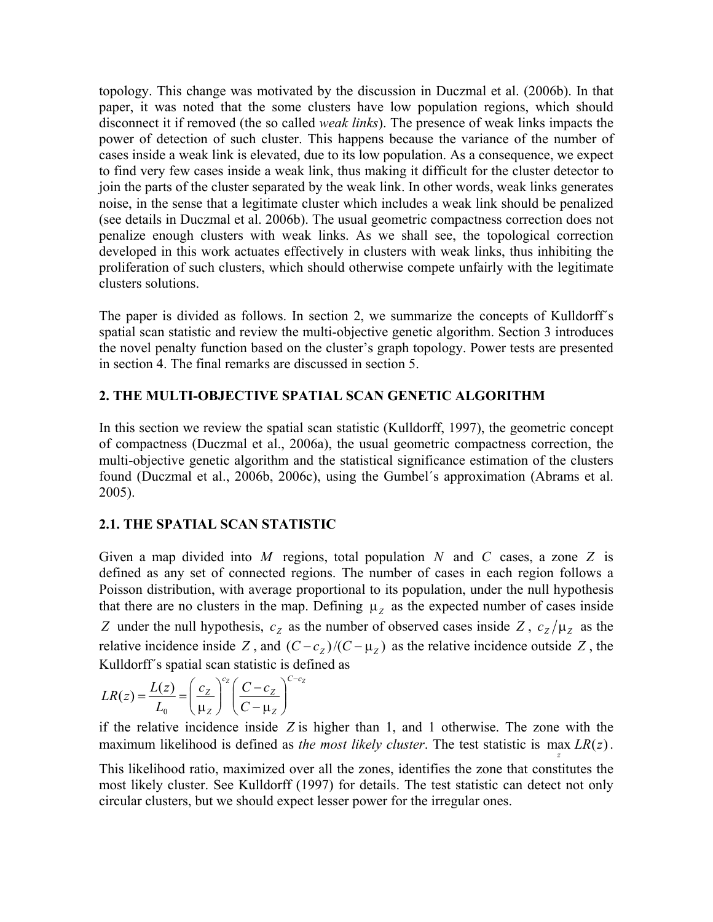topology. This change was motivated by the discussion in Duczmal et al. (2006b). In that paper, it was noted that the some clusters have low population regions, which should disconnect it if removed (the so called *weak links*). The presence of weak links impacts the power of detection of such cluster. This happens because the variance of the number of cases inside a weak link is elevated, due to its low population. As a consequence, we expect to find very few cases inside a weak link, thus making it difficult for the cluster detector to join the parts of the cluster separated by the weak link. In other words, weak links generates noise, in the sense that a legitimate cluster which includes a weak link should be penalized (see details in Duczmal et al. 2006b). The usual geometric compactness correction does not penalize enough clusters with weak links. As we shall see, the topological correction developed in this work actuates effectively in clusters with weak links, thus inhibiting the proliferation of such clusters, which should otherwise compete unfairly with the legitimate clusters solutions.

The paper is divided as follows. In section 2, we summarize the concepts of Kulldorff´s spatial scan statistic and review the multi-objective genetic algorithm. Section 3 introduces the novel penalty function based on the cluster's graph topology. Power tests are presented in section 4. The final remarks are discussed in section 5.

## **2. THE MULTI-OBJECTIVE SPATIAL SCAN GENETIC ALGORITHM**

In this section we review the spatial scan statistic (Kulldorff, 1997), the geometric concept of compactness (Duczmal et al., 2006a), the usual geometric compactness correction, the multi-objective genetic algorithm and the statistical significance estimation of the clusters found (Duczmal et al., 2006b, 2006c), using the Gumbel´s approximation (Abrams et al. 2005).

## **2.1. THE SPATIAL SCAN STATISTIC**

Given a map divided into M regions, total population N and C cases, a zone Z is defined as any set of connected regions. The number of cases in each region follows a Poisson distribution, with average proportional to its population, under the null hypothesis that there are no clusters in the map. Defining  $\mu_z$  as the expected number of cases inside Z under the null hypothesis,  $c_z$  as the number of observed cases inside Z,  $c_z/\mu_z$  as the relative incidence inside Z, and  $(C - c_Z)/(C - \mu_Z)$  as the relative incidence outside Z, the Kulldorff´s spatial scan statistic is defined as

$$
LR(z) = \frac{L(z)}{L_0} = \left(\frac{c_z}{\mu_z}\right)^{c_z} \left(\frac{C - c_z}{C - \mu_z}\right)^{C - c_z}
$$

if the relative incidence inside  $Z$  is higher than 1, and 1 otherwise. The zone with the maximum likelihood is defined as *the most likely cluster*. The test statistic is  $\max_{z} LR(z)$ .

This likelihood ratio, maximized over all the zones, identifies the zone that constitutes the most likely cluster. See Kulldorff (1997) for details. The test statistic can detect not only circular clusters, but we should expect lesser power for the irregular ones.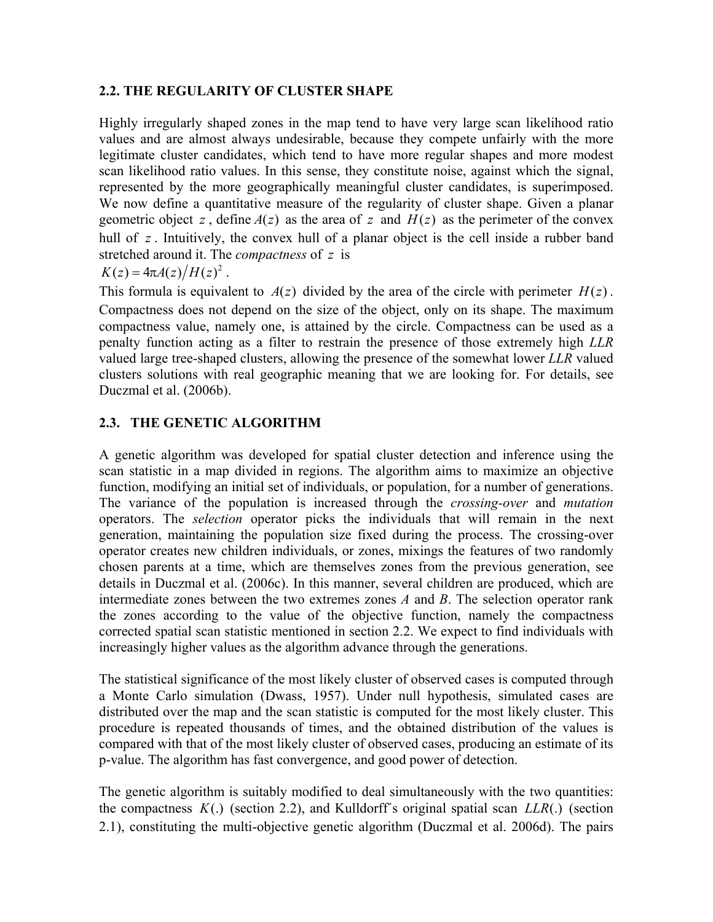### **2.2. THE REGULARITY OF CLUSTER SHAPE**

Highly irregularly shaped zones in the map tend to have very large scan likelihood ratio values and are almost always undesirable, because they compete unfairly with the more legitimate cluster candidates, which tend to have more regular shapes and more modest scan likelihood ratio values. In this sense, they constitute noise, against which the signal, represented by the more geographically meaningful cluster candidates, is superimposed. We now define a quantitative measure of the regularity of cluster shape. Given a planar geometric object z, define  $A(z)$  as the area of z and  $H(z)$  as the perimeter of the convex hull of z. Intuitively, the convex hull of a planar object is the cell inside a rubber band stretched around it. The *compactness* of z is

$$
K(z) = 4\pi A(z)/H(z)^2.
$$

This formula is equivalent to  $A(z)$  divided by the area of the circle with perimeter  $H(z)$ . Compactness does not depend on the size of the object, only on its shape. The maximum compactness value, namely one, is attained by the circle. Compactness can be used as a penalty function acting as a filter to restrain the presence of those extremely high *LLR* valued large tree-shaped clusters, allowing the presence of the somewhat lower *LLR* valued clusters solutions with real geographic meaning that we are looking for. For details, see Duczmal et al. (2006b).

## **2.3. THE GENETIC ALGORITHM**

A genetic algorithm was developed for spatial cluster detection and inference using the scan statistic in a map divided in regions. The algorithm aims to maximize an objective function, modifying an initial set of individuals, or population, for a number of generations. The variance of the population is increased through the *crossing-over* and *mutation* operators. The *selection* operator picks the individuals that will remain in the next generation, maintaining the population size fixed during the process. The crossing-over operator creates new children individuals, or zones, mixings the features of two randomly chosen parents at a time, which are themselves zones from the previous generation, see details in Duczmal et al. (2006c). In this manner, several children are produced, which are intermediate zones between the two extremes zones *A* and *B*. The selection operator rank the zones according to the value of the objective function, namely the compactness corrected spatial scan statistic mentioned in section 2.2. We expect to find individuals with increasingly higher values as the algorithm advance through the generations.

The statistical significance of the most likely cluster of observed cases is computed through a Monte Carlo simulation (Dwass, 1957). Under null hypothesis, simulated cases are distributed over the map and the scan statistic is computed for the most likely cluster. This procedure is repeated thousands of times, and the obtained distribution of the values is compared with that of the most likely cluster of observed cases, producing an estimate of its p-value. The algorithm has fast convergence, and good power of detection.

The genetic algorithm is suitably modified to deal simultaneously with the two quantities: the compactness  $K(.)$  (section 2.2), and Kulldorff's original spatial scan  $LLR(.)$  (section 2.1), constituting the multi-objective genetic algorithm (Duczmal et al. 2006d). The pairs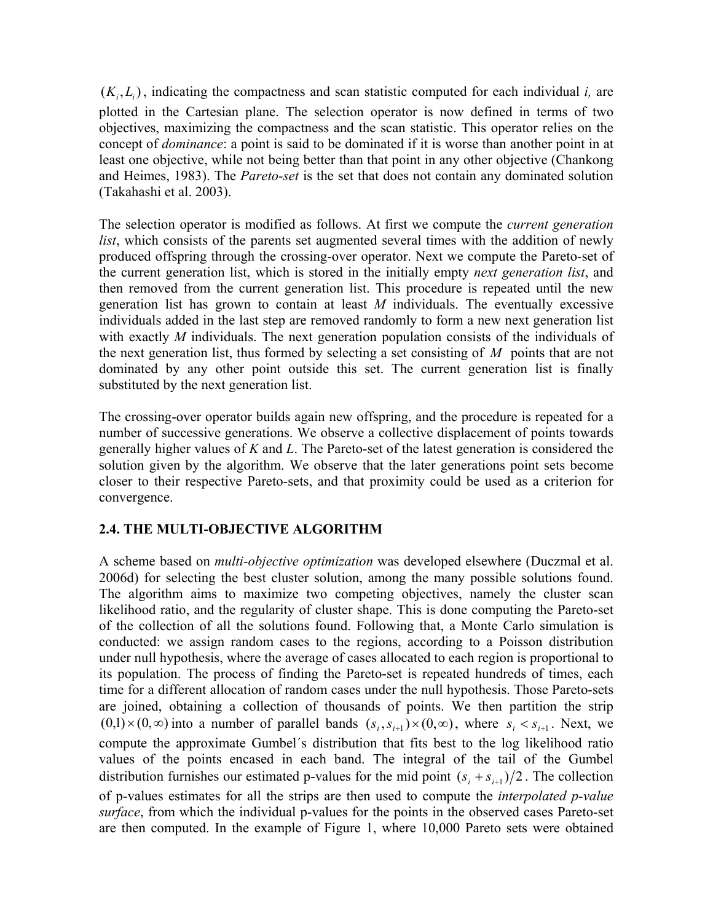$(K_i, L_i)$ , indicating the compactness and scan statistic computed for each individual *i*, are plotted in the Cartesian plane. The selection operator is now defined in terms of two objectives, maximizing the compactness and the scan statistic. This operator relies on the concept of *dominance*: a point is said to be dominated if it is worse than another point in at least one objective, while not being better than that point in any other objective (Chankong and Heimes, 1983). The *Pareto-set* is the set that does not contain any dominated solution (Takahashi et al. 2003).

The selection operator is modified as follows. At first we compute the *current generation list*, which consists of the parents set augmented several times with the addition of newly produced offspring through the crossing-over operator. Next we compute the Pareto-set of the current generation list, which is stored in the initially empty *next generation list*, and then removed from the current generation list. This procedure is repeated until the new generation list has grown to contain at least *M* individuals. The eventually excessive individuals added in the last step are removed randomly to form a new next generation list with exactly *M* individuals. The next generation population consists of the individuals of the next generation list, thus formed by selecting a set consisting of  $M$  points that are not dominated by any other point outside this set. The current generation list is finally substituted by the next generation list.

The crossing-over operator builds again new offspring, and the procedure is repeated for a number of successive generations. We observe a collective displacement of points towards generally higher values of *K* and *L*. The Pareto-set of the latest generation is considered the solution given by the algorithm. We observe that the later generations point sets become closer to their respective Pareto-sets, and that proximity could be used as a criterion for convergence.

## **2.4. THE MULTI-OBJECTIVE ALGORITHM**

 $(0,1) \times (0,\infty)$  into a number of parallel bands  $(s_i, s_{i+1}) \times (0,\infty)$ , where  $s_i < s_{i+1}$ . Next, we A scheme based on *multi-objective optimization* was developed elsewhere (Duczmal et al. 2006d) for selecting the best cluster solution, among the many possible solutions found. The algorithm aims to maximize two competing objectives, namely the cluster scan likelihood ratio, and the regularity of cluster shape. This is done computing the Pareto-set of the collection of all the solutions found. Following that, a Monte Carlo simulation is conducted: we assign random cases to the regions, according to a Poisson distribution under null hypothesis, where the average of cases allocated to each region is proportional to its population. The process of finding the Pareto-set is repeated hundreds of times, each time for a different allocation of random cases under the null hypothesis. Those Pareto-sets are joined, obtaining a collection of thousands of points. We then partition the strip compute the approximate Gumbel´s distribution that fits best to the log likelihood ratio values of the points encased in each band. The integral of the tail of the Gumbel distribution furnishes our estimated p-values for the mid point  $(s_i + s_{i+1})/2$ . The collection of p-values estimates for all the strips are then used to compute the *interpolated p-value surface*, from which the individual p-values for the points in the observed cases Pareto-set are then computed. In the example of Figure 1, where 10,000 Pareto sets were obtained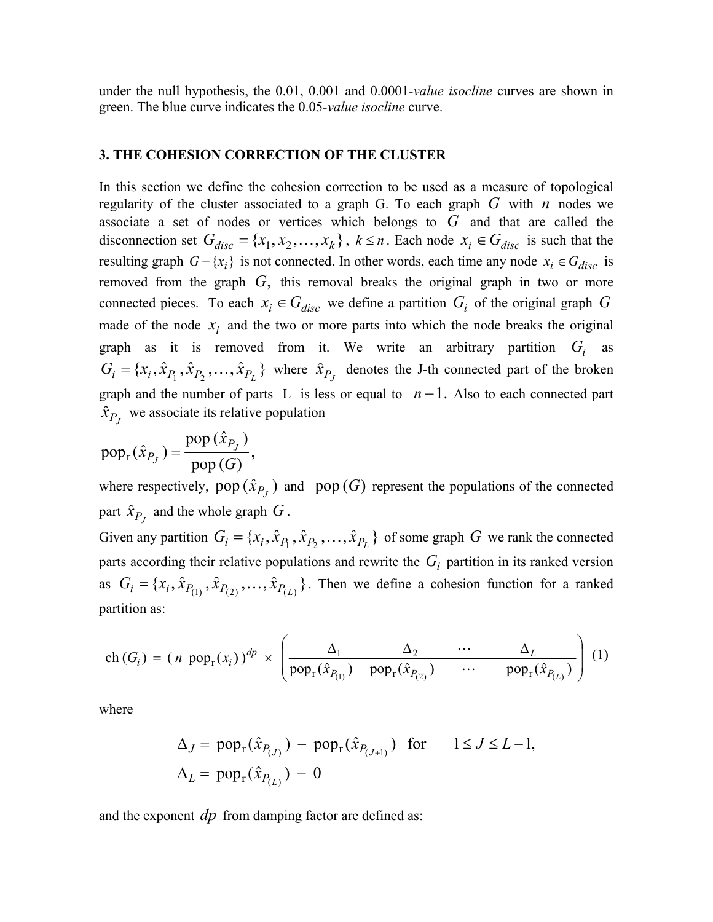under the null hypothesis, the 0.01, 0.001 and 0.0001*-value isocline* curves are shown in green. The blue curve indicates the 0.05*-value isocline* curve.

#### **3. THE COHESION CORRECTION OF THE CLUSTER**

In this section we define the cohesion correction to be used as a measure of topological regularity of the cluster associated to a graph G. To each graph  $G$  with  $n$  nodes we associate a set of nodes or vertices which belongs to  $\overline{G}$  and that are called the disconnection set  $G_{disc} = \{x_1, x_2, ..., x_k\}$ ,  $k \le n$ . Each node  $x_i \in G_{disc}$  is such that the resulting graph  $G - \{x_i\}$  is not connected. In other words, each time any node  $x_i \in G_{disc}$  is removed from the graph  $G$ , this removal breaks the original graph in two or more connected pieces. To each  $x_i \in G_{disc}$  we define a partition  $G_i$  of the original graph G made of the node  $x_i$  and the two or more parts into which the node breaks the original graph as it is removed from it. We write an arbitrary partition  $G_i$  as  $G_i = \{x_i, \hat{x}_{P_1}, \hat{x}_{P_2}, \dots, \hat{x}_{P_L}\}\$  where  $\hat{x}_{P_J}$  denotes the J-th connected part of the broken graph and the number of parts L is less or equal to  $n-1$ . Also to each connected part  $\hat{x}_{P_J}$  we associate its relative population

$$
pop_{r}(\hat{x}_{P_J}) = \frac{pop(\hat{x}_{P_J})}{pop(G)},
$$

where respectively, pop  $(\hat{x}_{P_J})$  and pop  $(G)$  represent the populations of the connected part  $\hat{x}_{P_J}$  and the whole graph  $G$ .

Given any partition  $G_i = \{x_i, \hat{x}_{P_1}, \hat{x}_{P_2}, \dots, \hat{x}_{P_L}\}\$  of some graph  $G$  we rank the connected parts according their relative populations and rewrite the  $G_i$  partition in its ranked version as  $G_i = \{x_i, \hat{x}_{P_{(1)}}, \hat{x}_{P_{(2)}}, \dots, \hat{x}_{P_{(L)}}\}$ . Then we define a cohesion function for a ranked partition as:

$$
\operatorname{ch}\left(G_{i}\right)=(n \ \operatorname{pop}_{r}(x_{i}))^{dp} \times \left(\frac{\Delta_{1}}{\operatorname{pop}_{r}(\hat{x}_{P_{(1)}}) \ \operatorname{pop}_{r}(\hat{x}_{P_{(2)}}) \ \cdots \ \operatorname{pop}_{r}(\hat{x}_{P_{(L)}})}\right)\left(1\right)
$$

where

$$
\Delta_J = \text{pop}_r(\hat{x}_{P_{(J)}}) - \text{pop}_r(\hat{x}_{P_{(J+1)}}) \quad \text{for} \qquad 1 \le J \le L - 1,
$$
  

$$
\Delta_L = \text{pop}_r(\hat{x}_{P_{(L)}}) - 0
$$

and the exponent *dp* from damping factor are defined as: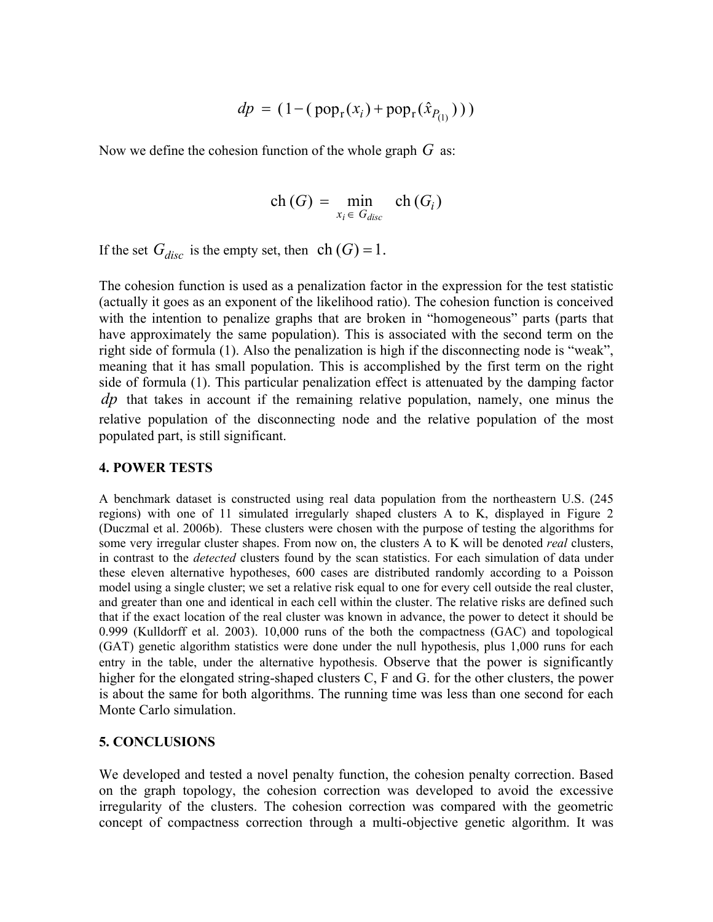$$
dp = (1 - (pop_{r}(x_i) + pop_{r}(\hat{x}_{P_{(1)}})))
$$

Now we define the cohesion function of the whole graph *G* as:

$$
\operatorname{ch}(G) = \min_{x_i \in G_{disc}} \operatorname{ch}(G_i)
$$

If the set  $G_{disc}$  is the empty set, then  $ch(G) = 1$ .

The cohesion function is used as a penalization factor in the expression for the test statistic (actually it goes as an exponent of the likelihood ratio). The cohesion function is conceived with the intention to penalize graphs that are broken in "homogeneous" parts (parts that have approximately the same population). This is associated with the second term on the right side of formula (1). Also the penalization is high if the disconnecting node is "weak", meaning that it has small population. This is accomplished by the first term on the right side of formula (1). This particular penalization effect is attenuated by the damping factor  $dp$  that takes in account if the remaining relative population, namely, one minus the relative population of the disconnecting node and the relative population of the most populated part, is still significant.

#### **4. POWER TESTS**

A benchmark dataset is constructed using real data population from the northeastern U.S. (245 regions) with one of 11 simulated irregularly shaped clusters A to K, displayed in Figure 2 (Duczmal et al. 2006b). These clusters were chosen with the purpose of testing the algorithms for some very irregular cluster shapes. From now on, the clusters A to K will be denoted *real* clusters, in contrast to the *detected* clusters found by the scan statistics. For each simulation of data under these eleven alternative hypotheses, 600 cases are distributed randomly according to a Poisson model using a single cluster; we set a relative risk equal to one for every cell outside the real cluster, and greater than one and identical in each cell within the cluster. The relative risks are defined such that if the exact location of the real cluster was known in advance, the power to detect it should be 0.999 (Kulldorff et al. 2003). 10,000 runs of the both the compactness (GAC) and topological (GAT) genetic algorithm statistics were done under the null hypothesis, plus 1,000 runs for each entry in the table, under the alternative hypothesis. Observe that the power is significantly higher for the elongated string-shaped clusters C, F and G. for the other clusters, the power is about the same for both algorithms. The running time was less than one second for each Monte Carlo simulation.

#### **5. CONCLUSIONS**

We developed and tested a novel penalty function, the cohesion penalty correction. Based on the graph topology, the cohesion correction was developed to avoid the excessive irregularity of the clusters. The cohesion correction was compared with the geometric concept of compactness correction through a multi-objective genetic algorithm. It was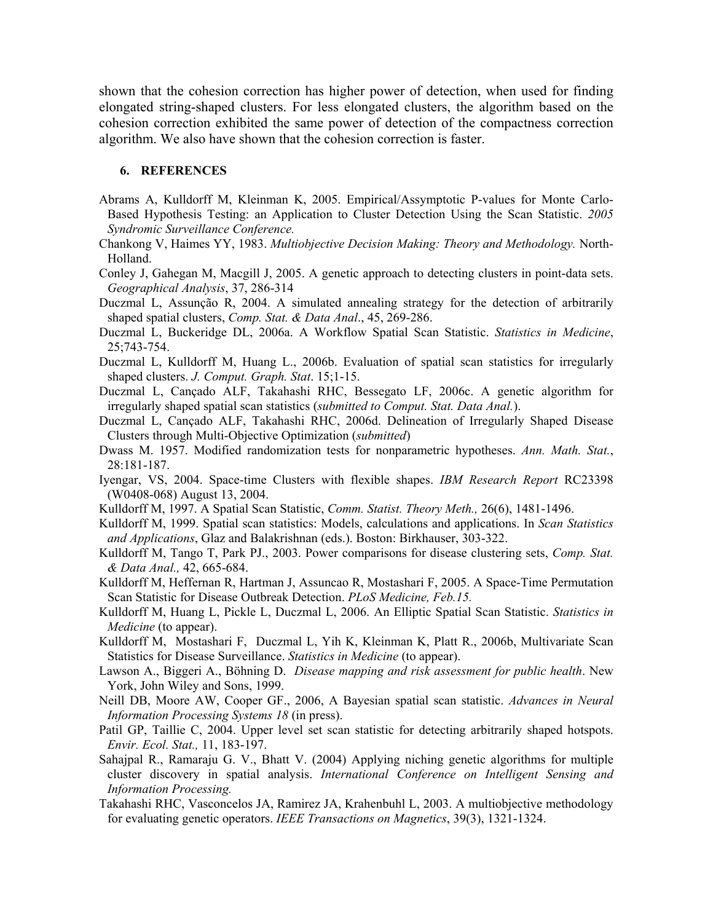shown that the cohesion correction has higher power of detection, when used for finding elongated string-shaped clusters. For less elongated clusters, the algorithm based on the cohesion correction exhibited the same power of detection of the compactness correction algorithm. We also have shown that the cohesion correction is faster.

#### **6. REFERENCES**

- Abrams A, Kulldorff M, Kleinman K, 2005. Empirical/Assymptotic P-values for Monte Carlo-Based Hypothesis Testing: an Application to Cluster Detection Using the Scan Statistic. *2005 Syndromic Surveillance Conference.*
- Chankong V, Haimes YY, 1983. *Multiobjective Decision Making: Theory and Methodology.* North-Holland.
- Conley J, Gahegan M, Macgill J, 2005. A genetic approach to detecting clusters in point-data sets. *Geographical Analysis*, 37, 286-314
- Duczmal L, Assunção R, 2004. A simulated annealing strategy for the detection of arbitrarily shaped spatial clusters, *Comp. Stat. & Data Anal*., 45, 269-286.
- Duczmal L, Buckeridge DL, 2006a. A Workflow Spatial Scan Statistic. *Statistics in Medicine*, 25;743-754.
- Duczmal L, Kulldorff M, Huang L., 2006b. Evaluation of spatial scan statistics for irregularly shaped clusters. *J. Comput. Graph. Stat*. 15;1-15.
- Duczmal L, Cançado ALF, Takahashi RHC, Bessegato LF, 2006c. A genetic algorithm for irregularly shaped spatial scan statistics (*submitted to Comput. Stat. Data Anal.*).
- Duczmal L, Cançado ALF, Takahashi RHC, 2006d. Delineation of Irregularly Shaped Disease Clusters through Multi-Objective Optimization (*submitted*)
- Dwass M. 1957. Modified randomization tests for nonparametric hypotheses. *Ann. Math. Stat.*, 28:181-187.
- Iyengar, VS, 2004. Space-time Clusters with flexible shapes. *IBM Research Report* RC23398 (W0408-068) August 13, 2004.
- Kulldorff M, 1997. A Spatial Scan Statistic, *Comm. Statist. Theory Meth.,* 26(6), 1481-1496.
- Kulldorff M, 1999. Spatial scan statistics: Models, calculations and applications. In *Scan Statistics and Applications*, Glaz and Balakrishnan (eds.). Boston: Birkhauser, 303-322.
- Kulldorff M, Tango T, Park PJ., 2003. Power comparisons for disease clustering sets, *Comp. Stat. & Data Anal.,* 42, 665-684.
- Kulldorff M, Heffernan R, Hartman J, Assuncao R, Mostashari F, 2005. A Space-Time Permutation Scan Statistic for Disease Outbreak Detection. *PLoS Medicine, Feb.15.*
- Kulldorff M, Huang L, Pickle L, Duczmal L, 2006. An Elliptic Spatial Scan Statistic. *Statistics in Medicine* (to appear).
- Kulldorff M, Mostashari F, Duczmal L, Yih K, Kleinman K, Platt R., 2006b, Multivariate Scan Statistics for Disease Surveillance. *Statistics in Medicine* (to appear).
- Lawson A., Biggeri A., Böhning D. *Disease mapping and risk assessment for public health*. New York, John Wiley and Sons, 1999.
- Neill DB, Moore AW, Cooper GF., 2006, A Bayesian spatial scan statistic. *Advances in Neural Information Processing Systems 18* (in press).
- Patil GP, Taillie C, 2004. Upper level set scan statistic for detecting arbitrarily shaped hotspots. *Envir. Ecol. Stat.,* 11, 183-197.
- Sahajpal R., Ramaraju G. V., Bhatt V. (2004) Applying niching genetic algorithms for multiple cluster discovery in spatial analysis. *International Conference on Intelligent Sensing and Information Processing.*
- Takahashi RHC, Vasconcelos JA, Ramirez JA, Krahenbuhl L, 2003. A multiobjective methodology for evaluating genetic operators. *IEEE Transactions on Magnetics*, 39(3), 1321-1324.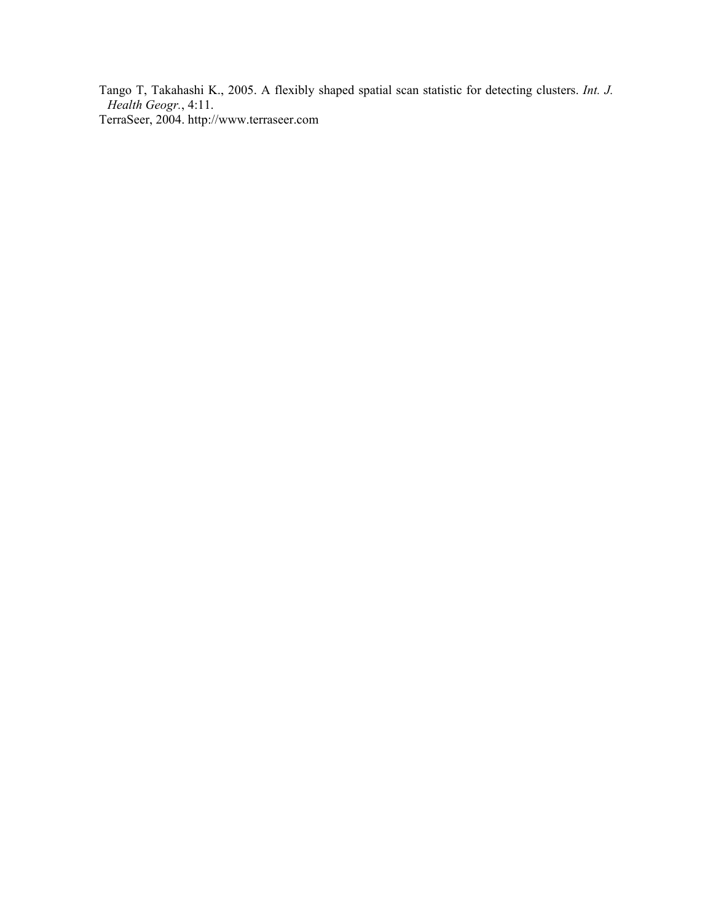Tango T, Takahashi K., 2005. A flexibly shaped spatial scan statistic for detecting clusters. *Int. J. Health Geogr.*, 4:11. TerraSeer, 2004. http://www.terraseer.com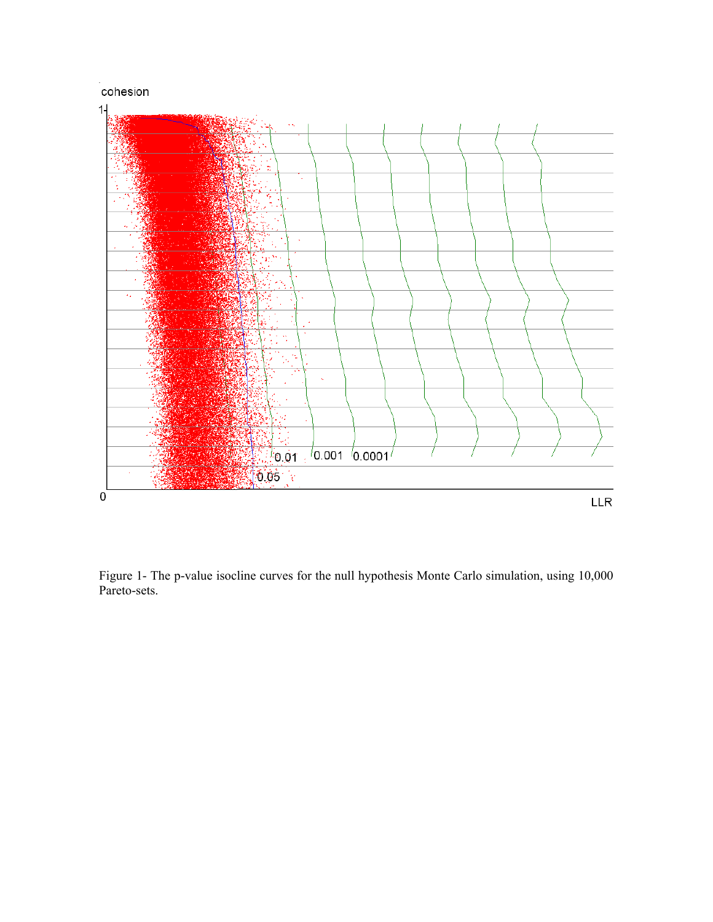

Figure 1- The p-value isocline curves for the null hypothesis Monte Carlo simulation, using 10,000 Pareto-sets.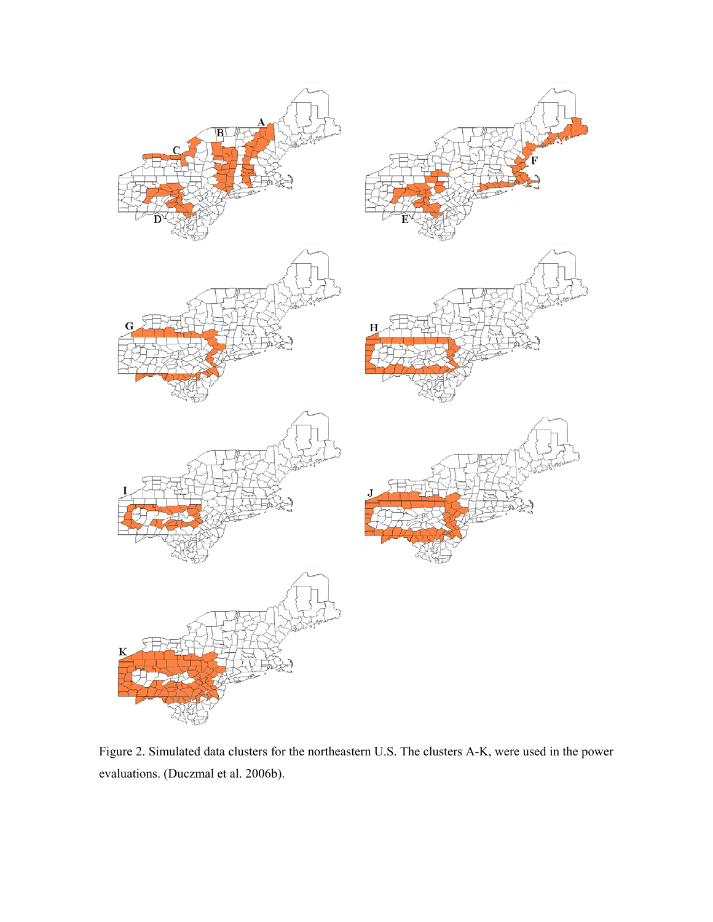

Figure 2. Simulated data clusters for the northeastern U.S. The clusters A-K, were used in the power evaluations. (Duczmal et al. 2006b).